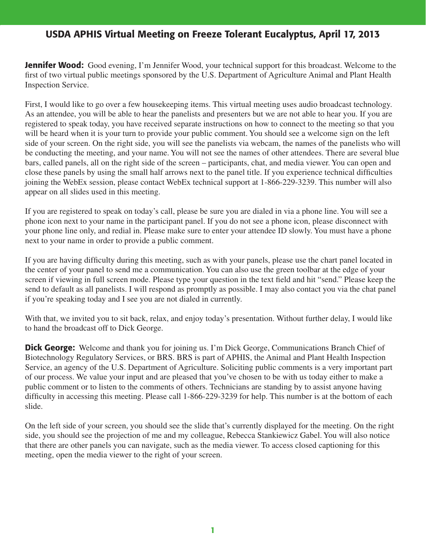**Jennifer Wood:** Good evening, I'm Jennifer Wood, your technical support for this broadcast. Welcome to the first of two virtual public meetings sponsored by the U.S. Department of Agriculture Animal and Plant Health Inspection Service.

First, I would like to go over a few housekeeping items. This virtual meeting uses audio broadcast technology. As an attendee, you will be able to hear the panelists and presenters but we are not able to hear you. If you are registered to speak today, you have received separate instructions on how to connect to the meeting so that you will be heard when it is your turn to provide your public comment. You should see a welcome sign on the left side of your screen. On the right side, you will see the panelists via webcam, the names of the panelists who will be conducting the meeting, and your name. You will not see the names of other attendees. There are several blue bars, called panels, all on the right side of the screen – participants, chat, and media viewer. You can open and close these panels by using the small half arrows next to the panel title. If you experience technical difficulties joining the WebEx session, please contact WebEx technical support at 1-866-229-3239. This number will also appear on all slides used in this meeting.

If you are registered to speak on today's call, please be sure you are dialed in via a phone line. You will see a phone icon next to your name in the participant panel. If you do not see a phone icon, please disconnect with your phone line only, and redial in. Please make sure to enter your attendee ID slowly. You must have a phone next to your name in order to provide a public comment.

If you are having difficulty during this meeting, such as with your panels, please use the chart panel located in the center of your panel to send me a communication. You can also use the green toolbar at the edge of your screen if viewing in full screen mode. Please type your question in the text field and hit "send." Please keep the send to default as all panelists. I will respond as promptly as possible. I may also contact you via the chat panel if you're speaking today and I see you are not dialed in currently.

With that, we invited you to sit back, relax, and enjoy today's presentation. Without further delay, I would like to hand the broadcast off to Dick George.

**Dick George:** Welcome and thank you for joining us. I'm Dick George, Communications Branch Chief of Biotechnology Regulatory Services, or BRS. BRS is part of APHIS, the Animal and Plant Health Inspection Service, an agency of the U.S. Department of Agriculture. Soliciting public comments is a very important part of our process. We value your input and are pleased that you've chosen to be with us today either to make a public comment or to listen to the comments of others. Technicians are standing by to assist anyone having difficulty in accessing this meeting. Please call 1-866-229-3239 for help. This number is at the bottom of each slide.

On the left side of your screen, you should see the slide that's currently displayed for the meeting. On the right side, you should see the projection of me and my colleague, Rebecca Stankiewicz Gabel. You will also notice that there are other panels you can navigate, such as the media viewer. To access closed captioning for this meeting, open the media viewer to the right of your screen.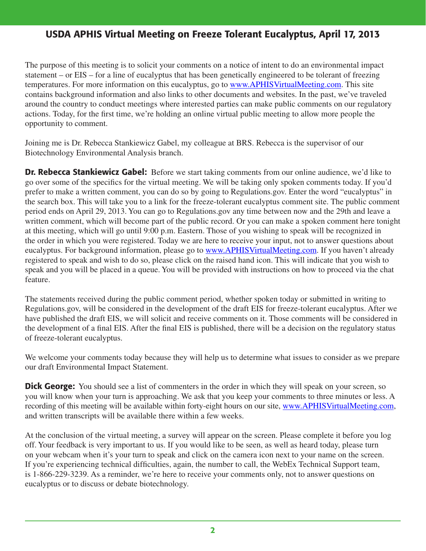The purpose of this meeting is to solicit your comments on a notice of intent to do an environmental impact statement – or EIS – for a line of eucalyptus that has been genetically engineered to be tolerant of freezing temperatures. For more information on this eucalyptus, go to www.APHISVirtualMeeting.com. This site contains background information and also links to other documents and websites. In the past, we've traveled around the country to conduct meetings where interested parties can make public comments on our regulatory actions. Today, for the first time, we're holding an online virtual public meeting to allow more people the opportunity to comment.

Joining me is Dr. Rebecca Stankiewicz Gabel, my colleague at BRS. Rebecca is the supervisor of our Biotechnology Environmental Analysis branch.

Dr. Rebecca Stankiewicz Gabel: Before we start taking comments from our online audience, we'd like to go over some of the specifics for the virtual meeting. We will be taking only spoken comments today. If you'd prefer to make a written comment, you can do so by going to Regulations.gov. Enter the word "eucalyptus" in the search box. This will take you to a link for the freeze-tolerant eucalyptus comment site. The public comment period ends on April 29, 2013. You can go to Regulations.gov any time between now and the 29th and leave a written comment, which will become part of the public record. Or you can make a spoken comment here tonight at this meeting, which will go until 9:00 p.m. Eastern. Those of you wishing to speak will be recognized in the order in which you were registered. Today we are here to receive your input, not to answer questions about eucalyptus. For background information, please go to www.APHISVirtualMeeting.com. If you haven't already registered to speak and wish to do so, please click on the raised hand icon. This will indicate that you wish to speak and you will be placed in a queue. You will be provided with instructions on how to proceed via the chat feature.

The statements received during the public comment period, whether spoken today or submitted in writing to Regulations.gov, will be considered in the development of the draft EIS for freeze-tolerant eucalyptus. After we have published the draft EIS, we will solicit and receive comments on it. Those comments will be considered in the development of a final EIS. After the final EIS is published, there will be a decision on the regulatory status of freeze-tolerant eucalyptus.

We welcome your comments today because they will help us to determine what issues to consider as we prepare our draft Environmental Impact Statement.

**Dick George:** You should see a list of commenters in the order in which they will speak on your screen, so you will know when your turn is approaching. We ask that you keep your comments to three minutes or less. A recording of this meeting will be available within forty-eight hours on our site, www.APHISVirtualMeeting.com, and written transcripts will be available there within a few weeks.

At the conclusion of the virtual meeting, a survey will appear on the screen. Please complete it before you log off. Your feedback is very important to us. If you would like to be seen, as well as heard today, please turn on your webcam when it's your turn to speak and click on the camera icon next to your name on the screen. If you're experiencing technical difficulties, again, the number to call, the WebEx Technical Support team, is 1-866-229-3239. As a reminder, we're here to receive your comments only, not to answer questions on eucalyptus or to discuss or debate biotechnology.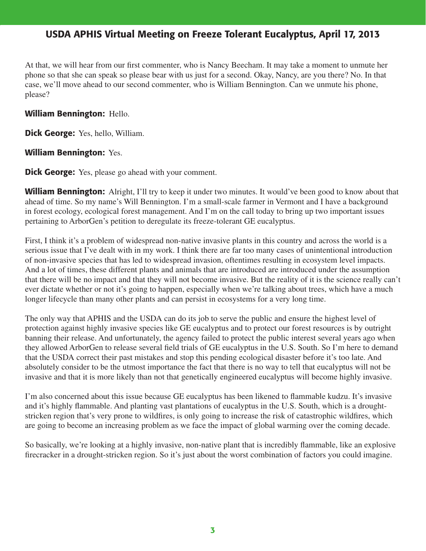At that, we will hear from our first commenter, who is Nancy Beecham. It may take a moment to unmute her phone so that she can speak so please bear with us just for a second. Okay, Nancy, are you there? No. In that case, we'll move ahead to our second commenter, who is William Bennington. Can we unmute his phone, please?

### William Bennington: Hello.

Dick George: Yes, hello, William.

### William Bennington: Yes.

**Dick George:** Yes, please go ahead with your comment.

**William Bennington:** Alright, I'll try to keep it under two minutes. It would've been good to know about that ahead of time. So my name's Will Bennington. I'm a small-scale farmer in Vermont and I have a background in forest ecology, ecological forest management. And I'm on the call today to bring up two important issues pertaining to ArborGen's petition to deregulate its freeze-tolerant GE eucalyptus.

First, I think it's a problem of widespread non-native invasive plants in this country and across the world is a serious issue that I've dealt with in my work. I think there are far too many cases of unintentional introduction of non-invasive species that has led to widespread invasion, oftentimes resulting in ecosystem level impacts. And a lot of times, these different plants and animals that are introduced are introduced under the assumption that there will be no impact and that they will not become invasive. But the reality of it is the science really can't ever dictate whether or not it's going to happen, especially when we're talking about trees, which have a much longer lifecycle than many other plants and can persist in ecosystems for a very long time.

The only way that APHIS and the USDA can do its job to serve the public and ensure the highest level of protection against highly invasive species like GE eucalyptus and to protect our forest resources is by outright banning their release. And unfortunately, the agency failed to protect the public interest several years ago when they allowed ArborGen to release several field trials of GE eucalyptus in the U.S. South. So I'm here to demand that the USDA correct their past mistakes and stop this pending ecological disaster before it's too late. And absolutely consider to be the utmost importance the fact that there is no way to tell that eucalyptus will not be invasive and that it is more likely than not that genetically engineered eucalyptus will become highly invasive.

I'm also concerned about this issue because GE eucalyptus has been likened to flammable kudzu. It's invasive and it's highly flammable. And planting vast plantations of eucalyptus in the U.S. South, which is a droughtstricken region that's very prone to wildfires, is only going to increase the risk of catastrophic wildfires, which are going to become an increasing problem as we face the impact of global warming over the coming decade.

So basically, we're looking at a highly invasive, non-native plant that is incredibly flammable, like an explosive firecracker in a drought-stricken region. So it's just about the worst combination of factors you could imagine.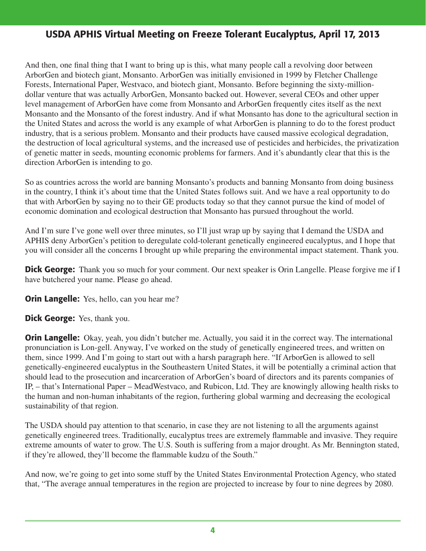And then, one final thing that I want to bring up is this, what many people call a revolving door between ArborGen and biotech giant, Monsanto. ArborGen was initially envisioned in 1999 by Fletcher Challenge Forests, International Paper, Westvaco, and biotech giant, Monsanto. Before beginning the sixty-milliondollar venture that was actually ArborGen, Monsanto backed out. However, several CEOs and other upper level management of ArborGen have come from Monsanto and ArborGen frequently cites itself as the next Monsanto and the Monsanto of the forest industry. And if what Monsanto has done to the agricultural section in the United States and across the world is any example of what ArborGen is planning to do to the forest product industry, that is a serious problem. Monsanto and their products have caused massive ecological degradation, the destruction of local agricultural systems, and the increased use of pesticides and herbicides, the privatization of genetic matter in seeds, mounting economic problems for farmers. And it's abundantly clear that this is the direction ArborGen is intending to go.

So as countries across the world are banning Monsanto's products and banning Monsanto from doing business in the country, I think it's about time that the United States follows suit. And we have a real opportunity to do that with ArborGen by saying no to their GE products today so that they cannot pursue the kind of model of economic domination and ecological destruction that Monsanto has pursued throughout the world.

And I'm sure I've gone well over three minutes, so I'll just wrap up by saying that I demand the USDA and APHIS deny ArborGen's petition to deregulate cold-tolerant genetically engineered eucalyptus, and I hope that you will consider all the concerns I brought up while preparing the environmental impact statement. Thank you.

**Dick George:** Thank you so much for your comment. Our next speaker is Orin Langelle. Please forgive me if I have butchered your name. Please go ahead.

**Orin Langelle:** Yes, hello, can you hear me?

Dick George: Yes, thank you.

**Orin Langelle:** Okay, yeah, you didn't butcher me. Actually, you said it in the correct way. The international pronunciation is Lon-gell. Anyway, I've worked on the study of genetically engineered trees, and written on them, since 1999. And I'm going to start out with a harsh paragraph here. "If ArborGen is allowed to sell genetically-engineered eucalyptus in the Southeastern United States, it will be potentially a criminal action that should lead to the prosecution and incarceration of ArborGen's board of directors and its parents companies of IP, – that's International Paper – MeadWestvaco, and Rubicon, Ltd. They are knowingly allowing health risks to the human and non-human inhabitants of the region, furthering global warming and decreasing the ecological sustainability of that region.

The USDA should pay attention to that scenario, in case they are not listening to all the arguments against genetically engineered trees. Traditionally, eucalyptus trees are extremely flammable and invasive. They require extreme amounts of water to grow. The U.S. South is suffering from a major drought. As Mr. Bennington stated, if they're allowed, they'll become the flammable kudzu of the South."

And now, we're going to get into some stuff by the United States Environmental Protection Agency, who stated that, "The average annual temperatures in the region are projected to increase by four to nine degrees by 2080.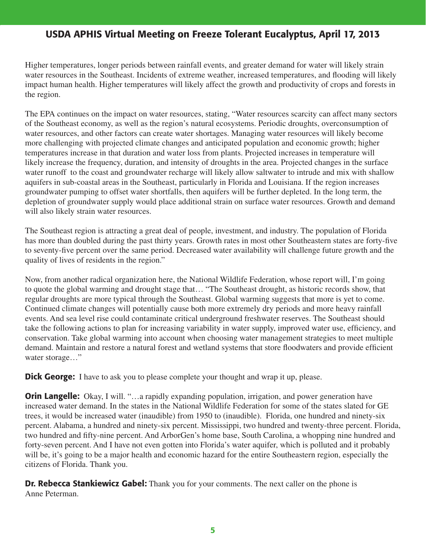Higher temperatures, longer periods between rainfall events, and greater demand for water will likely strain water resources in the Southeast. Incidents of extreme weather, increased temperatures, and flooding will likely impact human health. Higher temperatures will likely affect the growth and productivity of crops and forests in the region.

The EPA continues on the impact on water resources, stating, "Water resources scarcity can affect many sectors of the Southeast economy, as well as the region's natural ecosystems. Periodic droughts, overconsumption of water resources, and other factors can create water shortages. Managing water resources will likely become more challenging with projected climate changes and anticipated population and economic growth; higher temperatures increase in that duration and water loss from plants. Projected increases in temperature will likely increase the frequency, duration, and intensity of droughts in the area. Projected changes in the surface water runoff to the coast and groundwater recharge will likely allow saltwater to intrude and mix with shallow aquifers in sub-coastal areas in the Southeast, particularly in Florida and Louisiana. If the region increases groundwater pumping to offset water shortfalls, then aquifers will be further depleted. In the long term, the depletion of groundwater supply would place additional strain on surface water resources. Growth and demand will also likely strain water resources.

The Southeast region is attracting a great deal of people, investment, and industry. The population of Florida has more than doubled during the past thirty years. Growth rates in most other Southeastern states are forty-five to seventy-five percent over the same period. Decreased water availability will challenge future growth and the quality of lives of residents in the region."

Now, from another radical organization here, the National Wildlife Federation, whose report will, I'm going to quote the global warming and drought stage that… "The Southeast drought, as historic records show, that regular droughts are more typical through the Southeast. Global warming suggests that more is yet to come. Continued climate changes will potentially cause both more extremely dry periods and more heavy rainfall events. And sea level rise could contaminate critical underground freshwater reserves. The Southeast should take the following actions to plan for increasing variability in water supply, improved water use, efficiency, and conservation. Take global warming into account when choosing water management strategies to meet multiple demand. Maintain and restore a natural forest and wetland systems that store floodwaters and provide efficient water storage..."

**Dick George:** I have to ask you to please complete your thought and wrap it up, please.

**Orin Langelle:** Okay, I will. "...a rapidly expanding population, irrigation, and power generation have increased water demand. In the states in the National Wildlife Federation for some of the states slated for GE trees, it would be increased water (inaudible) from 1950 to (inaudible). Florida, one hundred and ninety-six percent. Alabama, a hundred and ninety-six percent. Mississippi, two hundred and twenty-three percent. Florida, two hundred and fifty-nine percent. And ArborGen's home base, South Carolina, a whopping nine hundred and forty-seven percent. And I have not even gotten into Florida's water aquifer, which is polluted and it probably will be, it's going to be a major health and economic hazard for the entire Southeastern region, especially the citizens of Florida. Thank you.

**Dr. Rebecca Stankiewicz Gabel:** Thank you for your comments. The next caller on the phone is Anne Peterman.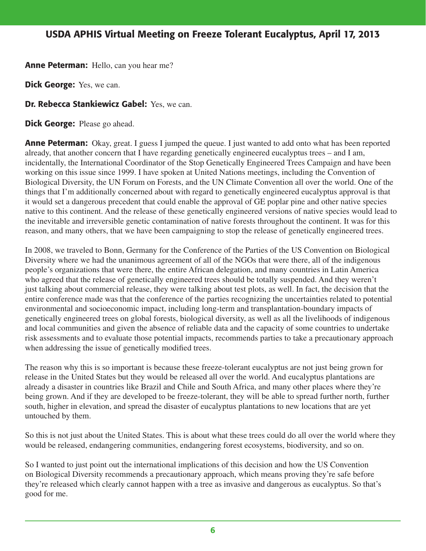Anne Peterman: Hello, can you hear me?

**Dick George:** Yes, we can.

**Dr. Rebecca Stankiewicz Gabel: Yes, we can.** 

Dick George: Please go ahead.

**Anne Peterman:** Okay, great. I guess I jumped the queue. I just wanted to add onto what has been reported already, that another concern that I have regarding genetically engineered eucalyptus trees – and I am, incidentally, the International Coordinator of the Stop Genetically Engineered Trees Campaign and have been working on this issue since 1999. I have spoken at United Nations meetings, including the Convention of Biological Diversity, the UN Forum on Forests, and the UN Climate Convention all over the world. One of the things that I'm additionally concerned about with regard to genetically engineered eucalyptus approval is that it would set a dangerous precedent that could enable the approval of GE poplar pine and other native species native to this continent. And the release of these genetically engineered versions of native species would lead to the inevitable and irreversible genetic contamination of native forests throughout the continent. It was for this reason, and many others, that we have been campaigning to stop the release of genetically engineered trees.

In 2008, we traveled to Bonn, Germany for the Conference of the Parties of the US Convention on Biological Diversity where we had the unanimous agreement of all of the NGOs that were there, all of the indigenous people's organizations that were there, the entire African delegation, and many countries in Latin America who agreed that the release of genetically engineered trees should be totally suspended. And they weren't just talking about commercial release, they were talking about test plots, as well. In fact, the decision that the entire conference made was that the conference of the parties recognizing the uncertainties related to potential environmental and socioeconomic impact, including long-term and transplantation-boundary impacts of genetically engineered trees on global forests, biological diversity, as well as all the livelihoods of indigenous and local communities and given the absence of reliable data and the capacity of some countries to undertake risk assessments and to evaluate those potential impacts, recommends parties to take a precautionary approach when addressing the issue of genetically modified trees.

The reason why this is so important is because these freeze-tolerant eucalyptus are not just being grown for release in the United States but they would be released all over the world. And eucalyptus plantations are already a disaster in countries like Brazil and Chile and South Africa, and many other places where they're being grown. And if they are developed to be freeze-tolerant, they will be able to spread further north, further south, higher in elevation, and spread the disaster of eucalyptus plantations to new locations that are yet untouched by them.

So this is not just about the United States. This is about what these trees could do all over the world where they would be released, endangering communities, endangering forest ecosystems, biodiversity, and so on.

So I wanted to just point out the international implications of this decision and how the US Convention on Biological Diversity recommends a precautionary approach, which means proving they're safe before they're released which clearly cannot happen with a tree as invasive and dangerous as eucalyptus. So that's good for me.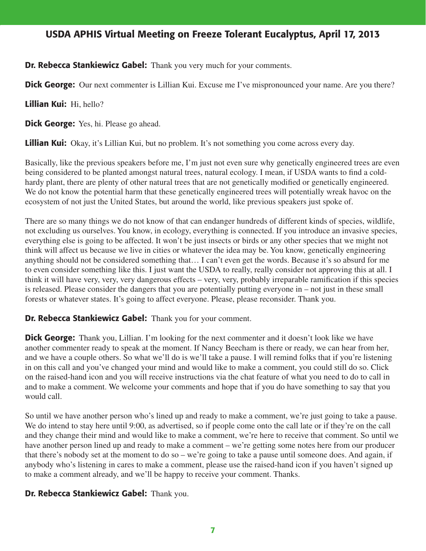### **Dr. Rebecca Stankiewicz Gabel:** Thank you very much for your comments.

**Dick George:** Our next commenter is Lillian Kui. Excuse me I've mispronounced your name. Are you there?

Lillian Kui: Hi, hello?

**Dick George:** Yes, hi. Please go ahead.

**Lillian Kui:** Okay, it's Lillian Kui, but no problem. It's not something you come across every day.

Basically, like the previous speakers before me, I'm just not even sure why genetically engineered trees are even being considered to be planted amongst natural trees, natural ecology. I mean, if USDA wants to find a coldhardy plant, there are plenty of other natural trees that are not genetically modified or genetically engineered. We do not know the potential harm that these genetically engineered trees will potentially wreak havoc on the ecosystem of not just the United States, but around the world, like previous speakers just spoke of.

There are so many things we do not know of that can endanger hundreds of different kinds of species, wildlife, not excluding us ourselves. You know, in ecology, everything is connected. If you introduce an invasive species, everything else is going to be affected. It won't be just insects or birds or any other species that we might not think will affect us because we live in cities or whatever the idea may be. You know, genetically engineering anything should not be considered something that… I can't even get the words. Because it's so absurd for me to even consider something like this. I just want the USDA to really, really consider not approving this at all. I think it will have very, very, very dangerous effects – very, very, probably irreparable ramification if this species is released. Please consider the dangers that you are potentially putting everyone in – not just in these small forests or whatever states. It's going to affect everyone. Please, please reconsider. Thank you.

### Dr. Rebecca Stankiewicz Gabel: Thank you for your comment.

**Dick George:** Thank you, Lillian. I'm looking for the next commenter and it doesn't look like we have another commenter ready to speak at the moment. If Nancy Beecham is there or ready, we can hear from her, and we have a couple others. So what we'll do is we'll take a pause. I will remind folks that if you're listening in on this call and you've changed your mind and would like to make a comment, you could still do so. Click on the raised-hand icon and you will receive instructions via the chat feature of what you need to do to call in and to make a comment. We welcome your comments and hope that if you do have something to say that you would call.

So until we have another person who's lined up and ready to make a comment, we're just going to take a pause. We do intend to stay here until 9:00, as advertised, so if people come onto the call late or if they're on the call and they change their mind and would like to make a comment, we're here to receive that comment. So until we have another person lined up and ready to make a comment – we're getting some notes here from our producer that there's nobody set at the moment to do so – we're going to take a pause until someone does. And again, if anybody who's listening in cares to make a comment, please use the raised-hand icon if you haven't signed up to make a comment already, and we'll be happy to receive your comment. Thanks.

### Dr. Rebecca Stankiewicz Gabel: Thank you.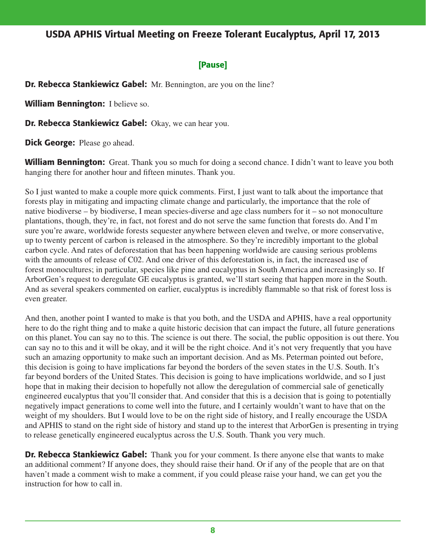### [Pause]

Dr. Rebecca Stankiewicz Gabel: Mr. Bennington, are you on the line?

William Bennington: I believe so.

Dr. Rebecca Stankiewicz Gabel: Okay, we can hear you.

**Dick George:** Please go ahead.

**William Bennington:** Great. Thank you so much for doing a second chance. I didn't want to leave you both hanging there for another hour and fifteen minutes. Thank you.

So I just wanted to make a couple more quick comments. First, I just want to talk about the importance that forests play in mitigating and impacting climate change and particularly, the importance that the role of native biodiverse – by biodiverse, I mean species-diverse and age class numbers for it – so not monoculture plantations, though, they're, in fact, not forest and do not serve the same function that forests do. And I'm sure you're aware, worldwide forests sequester anywhere between eleven and twelve, or more conservative, up to twenty percent of carbon is released in the atmosphere. So they're incredibly important to the global carbon cycle. And rates of deforestation that has been happening worldwide are causing serious problems with the amounts of release of C02. And one driver of this deforestation is, in fact, the increased use of forest monocultures; in particular, species like pine and eucalyptus in South America and increasingly so. If ArborGen's request to deregulate GE eucalyptus is granted, we'll start seeing that happen more in the South. And as several speakers commented on earlier, eucalyptus is incredibly flammable so that risk of forest loss is even greater.

And then, another point I wanted to make is that you both, and the USDA and APHIS, have a real opportunity here to do the right thing and to make a quite historic decision that can impact the future, all future generations on this planet. You can say no to this. The science is out there. The social, the public opposition is out there. You can say no to this and it will be okay, and it will be the right choice. And it's not very frequently that you have such an amazing opportunity to make such an important decision. And as Ms. Peterman pointed out before, this decision is going to have implications far beyond the borders of the seven states in the U.S. South. It's far beyond borders of the United States. This decision is going to have implications worldwide, and so I just hope that in making their decision to hopefully not allow the deregulation of commercial sale of genetically engineered eucalyptus that you'll consider that. And consider that this is a decision that is going to potentially negatively impact generations to come well into the future, and I certainly wouldn't want to have that on the weight of my shoulders. But I would love to be on the right side of history, and I really encourage the USDA and APHIS to stand on the right side of history and stand up to the interest that ArborGen is presenting in trying to release genetically engineered eucalyptus across the U.S. South. Thank you very much.

**Dr. Rebecca Stankiewicz Gabel:** Thank you for your comment. Is there anyone else that wants to make an additional comment? If anyone does, they should raise their hand. Or if any of the people that are on that haven't made a comment wish to make a comment, if you could please raise your hand, we can get you the instruction for how to call in.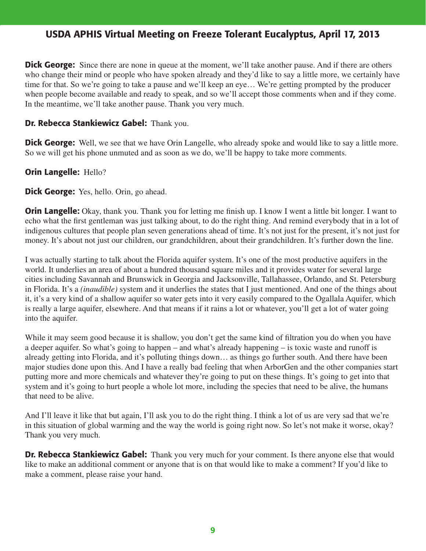**Dick George:** Since there are none in queue at the moment, we'll take another pause. And if there are others who change their mind or people who have spoken already and they'd like to say a little more, we certainly have time for that. So we're going to take a pause and we'll keep an eye… We're getting prompted by the producer when people become available and ready to speak, and so we'll accept those comments when and if they come. In the meantime, we'll take another pause. Thank you very much.

### Dr. Rebecca Stankiewicz Gabel: Thank you.

**Dick George:** Well, we see that we have Orin Langelle, who already spoke and would like to say a little more. So we will get his phone unmuted and as soon as we do, we'll be happy to take more comments.

### Orin Langelle: Hello?

**Dick George:** Yes, hello. Orin, go ahead.

**Orin Langelle:** Okay, thank you. Thank you for letting me finish up. I know I went a little bit longer. I want to echo what the first gentleman was just talking about, to do the right thing. And remind everybody that in a lot of indigenous cultures that people plan seven generations ahead of time. It's not just for the present, it's not just for money. It's about not just our children, our grandchildren, about their grandchildren. It's further down the line.

I was actually starting to talk about the Florida aquifer system. It's one of the most productive aquifers in the world. It underlies an area of about a hundred thousand square miles and it provides water for several large cities including Savannah and Brunswick in Georgia and Jacksonville, Tallahassee, Orlando, and St. Petersburg in Florida. It's a *(inaudible)* system and it underlies the states that I just mentioned. And one of the things about it, it's a very kind of a shallow aquifer so water gets into it very easily compared to the Ogallala Aquifer, which is really a large aquifer, elsewhere. And that means if it rains a lot or whatever, you'll get a lot of water going into the aquifer.

While it may seem good because it is shallow, you don't get the same kind of filtration you do when you have a deeper aquifer. So what's going to happen – and what's already happening – is toxic waste and runoff is already getting into Florida, and it's polluting things down… as things go further south. And there have been major studies done upon this. And I have a really bad feeling that when ArborGen and the other companies start putting more and more chemicals and whatever they're going to put on these things. It's going to get into that system and it's going to hurt people a whole lot more, including the species that need to be alive, the humans that need to be alive.

And I'll leave it like that but again, I'll ask you to do the right thing. I think a lot of us are very sad that we're in this situation of global warming and the way the world is going right now. So let's not make it worse, okay? Thank you very much.

**Dr. Rebecca Stankiewicz Gabel:** Thank you very much for your comment. Is there anyone else that would like to make an additional comment or anyone that is on that would like to make a comment? If you'd like to make a comment, please raise your hand.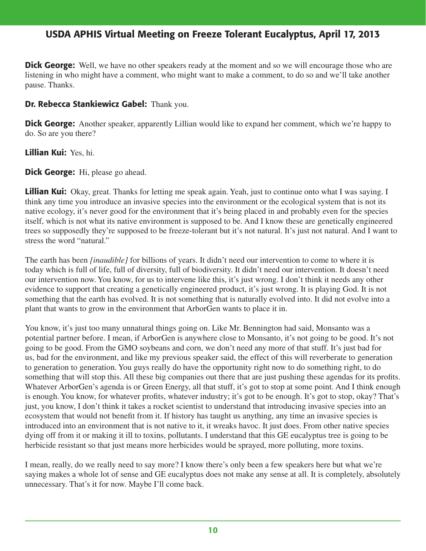**Dick George:** Well, we have no other speakers ready at the moment and so we will encourage those who are listening in who might have a comment, who might want to make a comment, to do so and we'll take another pause. Thanks.

### Dr. Rebecca Stankiewicz Gabel: Thank you.

**Dick George:** Another speaker, apparently Lillian would like to expand her comment, which we're happy to do. So are you there?

Lillian Kui: Yes, hi.

**Dick George:** Hi, please go ahead.

Lillian Kui: Okay, great. Thanks for letting me speak again. Yeah, just to continue onto what I was saying. I think any time you introduce an invasive species into the environment or the ecological system that is not its native ecology, it's never good for the environment that it's being placed in and probably even for the species itself, which is not what its native environment is supposed to be. And I know these are genetically engineered trees so supposedly they're supposed to be freeze-tolerant but it's not natural. It's just not natural. And I want to stress the word "natural."

The earth has been *[inaudible]* for billions of years. It didn't need our intervention to come to where it is today which is full of life, full of diversity, full of biodiversity. It didn't need our intervention. It doesn't need our intervention now. You know, for us to intervene like this, it's just wrong. I don't think it needs any other evidence to support that creating a genetically engineered product, it's just wrong. It is playing God. It is not something that the earth has evolved. It is not something that is naturally evolved into. It did not evolve into a plant that wants to grow in the environment that ArborGen wants to place it in.

You know, it's just too many unnatural things going on. Like Mr. Bennington had said, Monsanto was a potential partner before. I mean, if ArborGen is anywhere close to Monsanto, it's not going to be good. It's not going to be good. From the GMO soybeans and corn, we don't need any more of that stuff. It's just bad for us, bad for the environment, and like my previous speaker said, the effect of this will reverberate to generation to generation to generation. You guys really do have the opportunity right now to do something right, to do something that will stop this. All these big companies out there that are just pushing these agendas for its profits. Whatever ArborGen's agenda is or Green Energy, all that stuff, it's got to stop at some point. And I think enough is enough. You know, for whatever profits, whatever industry; it's got to be enough. It's got to stop, okay? That's just, you know, I don't think it takes a rocket scientist to understand that introducing invasive species into an ecosystem that would not benefit from it. If history has taught us anything, any time an invasive species is introduced into an environment that is not native to it, it wreaks havoc. It just does. From other native species dying off from it or making it ill to toxins, pollutants. I understand that this GE eucalyptus tree is going to be herbicide resistant so that just means more herbicides would be sprayed, more polluting, more toxins.

I mean, really, do we really need to say more? I know there's only been a few speakers here but what we're saying makes a whole lot of sense and GE eucalyptus does not make any sense at all. It is completely, absolutely unnecessary. That's it for now. Maybe I'll come back.